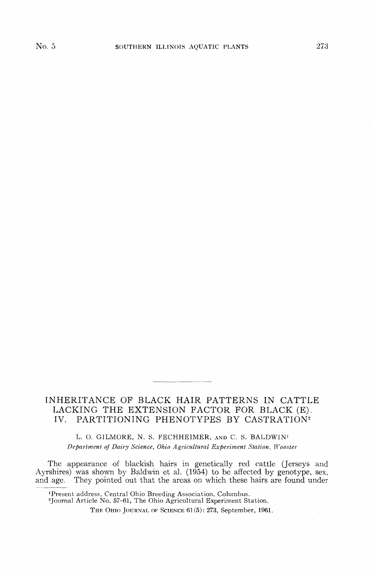# INHERITANCE OF BLACK HAIR PATTERNS IN CATTLE LACKING THE EXTENSION FACTOR FOR BLACK (E). IV. PARTITIONING PHENOTYPES BY CASTRATION<sup>2</sup>

L. O. G1LMORE, N. S. FECHHEIMER, AND C. S. BALDWIN<sup>1</sup> *Department of Dairy Science, Ohio Agricultural Experiment Station, Wooster*

The appearance of blackish hairs in genetically red cattle (Jerseys and Ayrshires) was shown by Baldwin et al. (1954) to be affected by genotype, sex, and age. They pointed out that the areas on which these hairs are found under

'Present address, Central Ohio Breeding Association, Columbus. 2 Journal Article No. 57-61, The Ohio Agricultural Experiment Station.

THE OHIO JOURNAL OF SCIENCE 61 (5): 273, September, 1961.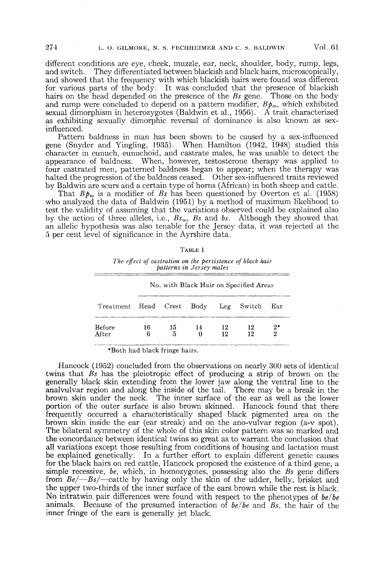different conditions are eye, cheek, muzzle, ear, neck, shoulder, body, rump, legs, and switch. They differentiated between blackish and black hairs, microscopically, They differentiated between blackish and black hairs, microscopically, and showed that the frequency with which blackish hairs were found was different for various parts of the body. It was concluded that the presence of blackish hairs on the head depended on the presence of the *Bs* gene. Those on the body and rump were concluded to depend on a pattern modifier,  $B\phi_m$ , which exhibited sexual dimorphism in heterozygotes (Baldwin et al., 1956). A trait characterized as exhibiting sexually dimorphic reversal of dominance is also known as sexinfluenced.

Pattern baldness in man has been shown to be caused by a sex-influenced gene (Snyder and Yingling, 1935). When Hamilton (1942, 1948) studied this character in eunuch, eunuchoid, and castrate males, he was unable to detect the appearance of baldness. When, however, testosterone therapy was applied to four castrated men, patterned baldness began to appear; when the therapy was halted the progression of the baldness ceased. Other sex-influenced traits reviewed by Baldwin are scurs and a certain type of horns (African) in both sheep and cattle.

That  $B\mathbf{p}_m$  is a modifier of *Bs* has been questioned by Overton et al. (1958) who analyzed the data of Baldwin (1951) by a method of maximum likelihood to test the validity of assuming that the variations observed could be explained also by the action of three alleles, i.e., *Bsm, Bs* and *bs.* Although they showed that an allelic hypothesis was also tenable for the Jersey data, it was rejected at the 5 per cent level of significance in the Ayrshire data.

|  |  | п<br>F |  |
|--|--|--------|--|
|--|--|--------|--|

*The effect of castration on the persistence of black hair patterns in Jersey males*

|                                      | No. with Black Hair on Specified Areas |         |         |          |          |           |  |  |
|--------------------------------------|----------------------------------------|---------|---------|----------|----------|-----------|--|--|
| Treatment Head Crest Body Leg Switch |                                        |         |         |          |          | Ear       |  |  |
| Before<br>After                      | 16<br>6                                | 15<br>5 | 14<br>0 | 12<br>12 | 12<br>12 | $2*$<br>2 |  |  |

\*Both had black fringe hairs.

Hancock (1952) concluded from the observations on nearly 300 sets of identical twins that *Bs* has the pleiotropic effect of producing a strip of brown on the generally black skin extending from the lower jaw along the ventral line to the analvulvar region and along the inside of the tail. There may be a break in the brown skin under the neck. The inner surface of the ear as well as the lower portion of the outer surface is also brown skinned. Hancock found that there frequently occurred a characteristically shaped black pigmented area on the brown skin inside the ear (ear streak) and on the ano-vulvar region (a-v spot). The bilateral symmetry of the whole of this skin color pattern was so marked and the concordance between identical twins so great as to warrant the conclusion that all variations except those resulting from conditions of housing and lactation must be explained genetically. In a further effort to explain different genetic causes for the black hairs on red cattle, Hancock proposed the existence of a third gene, a simple recessive, *be,* which, in homozygotes, possessing also the *Bs* gene differs from *Be/*—*Bs/*—cattle by having only the skin of the udder, belly, brisket and the upper two-thirds of the inner surface of the ears brown while the rest is black. No intratwin pair differences were found with respect to the phenotypes of *be/be* animals. Because of the presumed interaction of *be/be* and *Bs,* the hair of the inner fringe of the ears is generally jet black.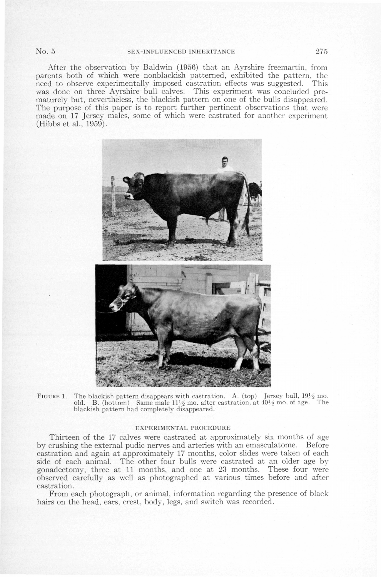After the observation by Baldwin (1956) that an Ayrshire freemartin, from parents both of which were nonblackish patterned, exhibited the pattern, the need to observe experimentally imposed castration effects was suggested. This was done on three Ayrshire bull calves. This experiment was concluded prematurely but, nevertheless, the blackish pattern on one of the bulls disappeared. The purpose of this paper is to report further pertinent observations that were made on 17 Jersey males, some of which were castrated for another experiment (Hibbs et al., 1959).



FIGURE 1. The blackish pattern disappears with castration. A. (top) Jersey bull,  $19\frac{1}{2}$  mo. old. B. (bottom) Same male  $11\frac{1}{2}$  mo. after castration, at  $40\frac{1}{2}$  mo. of age. The blackish pattern had completely disappeared.

## EXPERIMENTAL PROCEDURE

Thirteen of the 17 calves were castrated at approximately six months of age by crushing the external pudic nerves and arteries with an emasculatome. Before castration and again at approximately 17 months, color slides were taken of each side of each animal. The other four bulls were castrated at an older age by gonadectomy, three at 11 months, and one at 23 months. These four were observed carefully as well as photographed at various times before and after castration.

From each photograph, or animal, information regarding the presence of black hairs on the head, ears, crest, body, legs, and switch was recorded.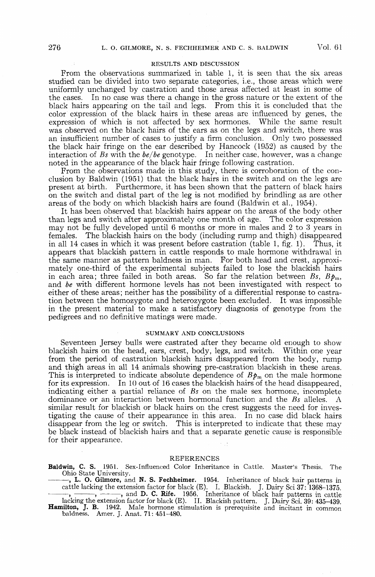## RESULTS AND DISCUSSION

From the observations summarized in table 1, it is seen that the six areas studied can be divided into two separate categories, i.e., those areas which were uniformly unchanged by castration and those areas affected at least in some of the cases. In no case was there a change in the gross nature or the extent of the black hairs appearing on the tail and legs. From this it is concluded that the color expression of the black hairs in these areas are influenced by genes, the expression of which is not affected by sex hormones. While the same result was observed on the black hairs of the ears as on the legs and switch, there was an insufficient number of cases to justify a firm conclusion. Only two possessed the black hair fringe on the ear described by Hancock (1952) as caused by the interaction of *Bs* with the *be/be* genotype. In neither case, however, was a change noted in the appearance of the black hair fringe following castration.

From the observations made in this study, there is corroboration of the conclusion by Baldwin (1951) that the black hairs in the switch and on the legs are present at birth. Furthermore, it has been shown that the pattern of black hairs on the switch and distal part of the leg is not modified by brindling as are other areas of the body on which blackish hairs are found (Baldwin et al., 1954).

It has been observed that blackish hairs appear on the areas of the body other than legs and switch after approximately one month of age. The color expression may not be fully developed until 6 months or more in males and 2 to 3 years in females. The blackish hairs on the body (including rump and thigh) disappeared The blackish hairs on the body (including rump and thigh) disappeared in all 14 cases in which it was present before castration (table 1, fig. 1). Thus, it appears that blackish pattern in cattle responds to male hormone withdrawal in the same manner as pattern baldness in man. For both head and crest, approximately one-third of the experimental subjects failed to lose the blackish hairs in each area; three failed in both areas. So far the relation between  $Bs$ ,  $Bp_m$ , and *be* with different hormone levels has not been investigated with respect to either of these areas; neither has the possibility of a differential response to castration between the homozygote and heterozygote been excluded. It was impossible in the present material to make a satisfactory diagnosis of genotype from the pedigrees and no definitive matings were made.

# SUMMARY AND CONCLUSIONS

Seventeen Jersey bulls were castrated after they became old enough to show blackish hairs on the head, ears, crest, body, legs, and switch. Within one year from the period of castration blackish hairs disappeared from the body, rump and thigh areas in all 14 animals showing pre-castration blackish in these areas. This is interpreted to indicate absolute dependence of  $Bp<sub>m</sub>$  on the male hormone for its expression. In 10 out of 16 cases the blackish hairs of the head disappeared, indicating either a partial reliance of *Bs* on the male sex hormone, incomplete dominance or an interaction between hormonal function and the *Bs* alleles. A similar result for blackish or black hairs on the crest suggests the need for investigating the cause of their appearance in this area. In no case did black hairs disappear from the leg or switch. This is interpreted to indicate that these may be black instead of blackish hairs and that a separate genetic cause is responsible for their appearance.

## REFERENCES

**Baldwin, C. S.** 1951. Sex-Influenced Color Inheritance in Cattle. Master's Thesis. The Ohio State University.

- , **L. O. Gilmore,** and **N. S. Fechheimer.** 1954. Inheritance of black hair patterns in cattle lacking the extension factor for black (E). I. Blackish. J. Dairy Sci 37: 1368-1375. , and **D. C. Rife.** 1956. Inheritance of black hair patterns in cattle
- lacking the extension factor for black (E). II. Blackish pattern. J. Dairy Sci. 39: 435-439. **Hamilton, J. B.** 1942. Male hormone stimulation is prerequisite and incitant in common baldness. Amer. J. Anat. 71: 451-480.